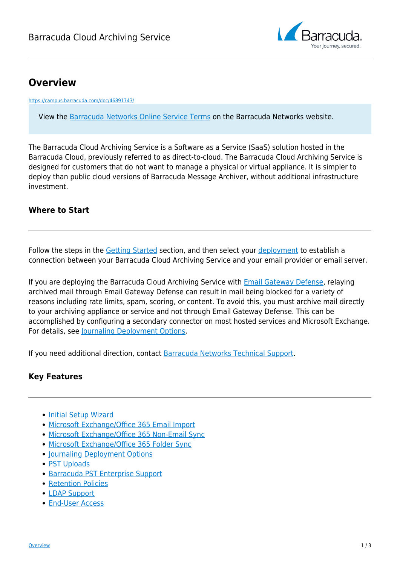

# **Overview**

<https://campus.barracuda.com/doc/46891743/>

View the [Barracuda Networks Online Service Terms](https://www.barracuda.com/company/legal/cloudserviceterm) on the Barracuda Networks website.

The Barracuda Cloud Archiving Service is a Software as a Service (SaaS) solution hosted in the Barracuda Cloud, previously referred to as direct-to-cloud. The Barracuda Cloud Archiving Service is designed for customers that do not want to manage a physical or virtual appliance. It is simpler to deploy than public cloud versions of Barracuda Message Archiver, without additional infrastructure investment.

### **Where to Start**

Follow the steps in the [Getting Started](http://campus.barracuda.com/doc/46891767/) section, and then select your [deployment](http://campus.barracuda.com/doc/46891793/) to establish a connection between your Barracuda Cloud Archiving Service and your email provider or email server.

If you are deploying the Barracuda Cloud Archiving Service with [Email Gateway Defense](http://campus.barracuda.com/doc/96022959/), relaying archived mail through Email Gateway Defense can result in mail being blocked for a variety of reasons including rate limits, spam, scoring, or content. To avoid this, you must archive mail directly to your archiving appliance or service and not through Email Gateway Defense. This can be accomplished by configuring a secondary connector on most hosted services and Microsoft Exchange. For details, see [Journaling Deployment Options.](http://campus.barracuda.com/doc/46891793/)

If you need additional direction, contact [Barracuda Networks Technical Support.](https://www.barracuda.com/support)

### **Key Features**

- [Initial Setup Wizard](http://campus.barracuda.com/doc/49056474/)
- [Microsoft Exchange/Office 365 Email Import](http://campus.barracuda.com/doc/46894978/)
- [Microsoft Exchange/Office 365 Non-Email Sync](http://campus.barracuda.com/doc/2490428/)
- [Microsoft Exchange/Office 365 Folder Sync](http://campus.barracuda.com/doc/46895580/)
- [Journaling Deployment Options](http://campus.barracuda.com/doc/46891793/)
- [PST Uploads](http://campus.barracuda.com/doc/46891978/)
- [Barracuda PST Enterprise Support](http://campus.barracuda.com/doc/41115473/)
- [Retention Policies](http://campus.barracuda.com/doc/46891910/)
- [LDAP Support](http://campus.barracuda.com/doc/46891774/)
- **[End-User Access](http://campus.barracuda.com/doc/46891920/)**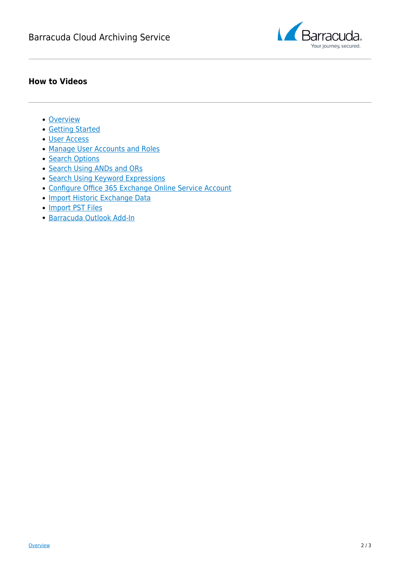

### **How to Videos**

- [Overview](http://campus.barracuda.com/doc/54265843/)
- [Getting Started](http://campus.barracuda.com/doc/54265867/)
- [User Access](http://campus.barracuda.com/doc/54265845/)
- [Manage User Accounts and Roles](http://campus.barracuda.com/doc/54265848/)
- [Search Options](http://campus.barracuda.com/doc/54265869/)
- [Search Using ANDs and ORs](http://campus.barracuda.com/doc/54265853/)
- [Search Using Keyword Expressions](http://campus.barracuda.com/doc/54265855/)
- [Configure Office 365 Exchange Online Service Account](http://campus.barracuda.com/doc/54265861/)
- · [Import Historic Exchange Data](http://campus.barracuda.com/doc/54265863/)
- [Import PST Files](http://campus.barracuda.com/doc/54265857/)
- [Barracuda Outlook Add-In](http://campus.barracuda.com/doc/54265865/)